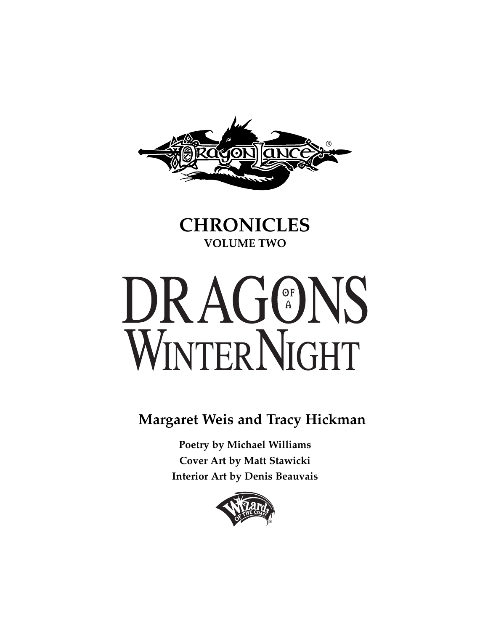



# DRAGGNS WINTER NIGHT

# **Margaret Weis and Tracy Hickman**

**Poetry by Michael Williams Cover Art by Matt Stawicki Interior Art by Denis Beauvais**

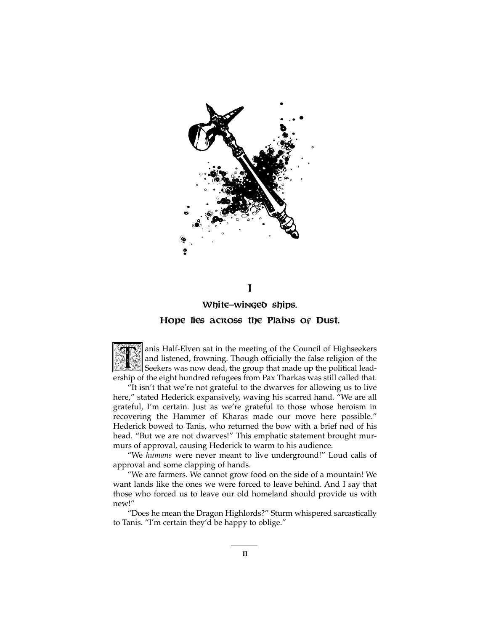

## 1

White**–**winged ships.

# Hope lies across the Plains of Dust.

anis Half-Elven sat in the meeting of the Council of Highseekers and listened, frowning. Though officially the false religion of the Seekers was now dead, the group that made up the political leadership of the eight hundred refugees from Pax Tharkas was still called that.

"It isn't that we're not grateful to the dwarves for allowing us to live here," stated Hederick expansively, waving his scarred hand. "We are all grateful, I'm certain. Just as we're grateful to those whose heroism in recovering the Hammer of Kharas made our move here possible." Hederick bowed to Tanis, who returned the bow with a brief nod of his head. "But we are not dwarves!" This emphatic statement brought murmurs of approval, causing Hederick to warm to his audience.

"We *humans* were never meant to live underground!" Loud calls of approval and some clapping of hands.

"We are farmers. We cannot grow food on the side of a mountain! We want lands like the ones we were forced to leave behind. And I say that those who forced us to leave our old homeland should provide us with new!"

"Does he mean the Dragon Highlords?" Sturm whispered sarcastically to Tanis. "I'm certain they'd be happy to oblige."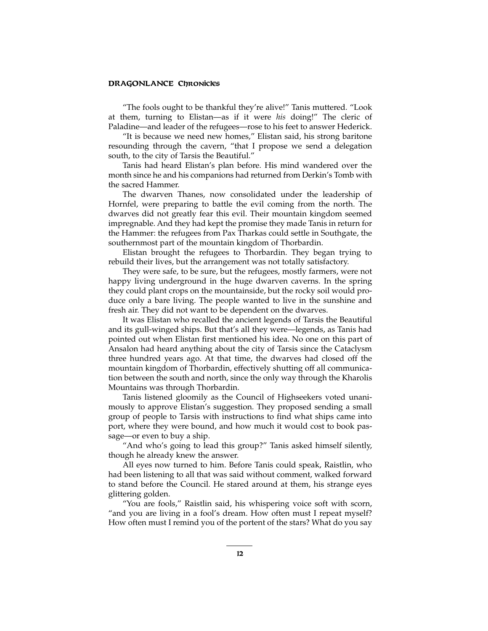### DRAGONLANCE Chronicles

"The fools ought to be thankful they're alive!" Tanis muttered. "Look at them, turning to Elistan—as if it were *his* doing!" The cleric of Paladine—and leader of the refugees—rose to his feet to answer Hederick.

"It is because we need new homes," Elistan said, his strong baritone resounding through the cavern, "that I propose we send a delegation south, to the city of Tarsis the Beautiful."

Tanis had heard Elistan's plan before. His mind wandered over the month since he and his companions had returned from Derkin's Tomb with the sacred Hammer.

The dwarven Thanes, now consolidated under the leadership of Hornfel, were preparing to battle the evil coming from the north. The dwarves did not greatly fear this evil. Their mountain kingdom seemed impregnable. And they had kept the promise they made Tanis in return for the Hammer: the refugees from Pax Tharkas could settle in Southgate, the southernmost part of the mountain kingdom of Thorbardin.

Elistan brought the refugees to Thorbardin. They began trying to rebuild their lives, but the arrangement was not totally satisfactory.

They were safe, to be sure, but the refugees, mostly farmers, were not happy living underground in the huge dwarven caverns. In the spring they could plant crops on the mountainside, but the rocky soil would produce only a bare living. The people wanted to live in the sunshine and fresh air. They did not want to be dependent on the dwarves.

It was Elistan who recalled the ancient legends of Tarsis the Beautiful and its gull-winged ships. But that's all they were—legends, as Tanis had pointed out when Elistan first mentioned his idea. No one on this part of Ansalon had heard anything about the city of Tarsis since the Cataclysm three hundred years ago. At that time, the dwarves had closed off the mountain kingdom of Thorbardin, effectively shutting off all communication between the south and north, since the only way through the Kharolis Mountains was through Thorbardin.

Tanis listened gloomily as the Council of Highseekers voted unanimously to approve Elistan's suggestion. They proposed sending a small group of people to Tarsis with instructions to find what ships came into port, where they were bound, and how much it would cost to book passage—or even to buy a ship.

"And who's going to lead this group?" Tanis asked himself silently, though he already knew the answer.

All eyes now turned to him. Before Tanis could speak, Raistlin, who had been listening to all that was said without comment, walked forward to stand before the Council. He stared around at them, his strange eyes glittering golden.

"You are fools," Raistlin said, his whispering voice soft with scorn, "and you are living in a fool's dream. How often must I repeat myself? How often must I remind you of the portent of the stars? What do you say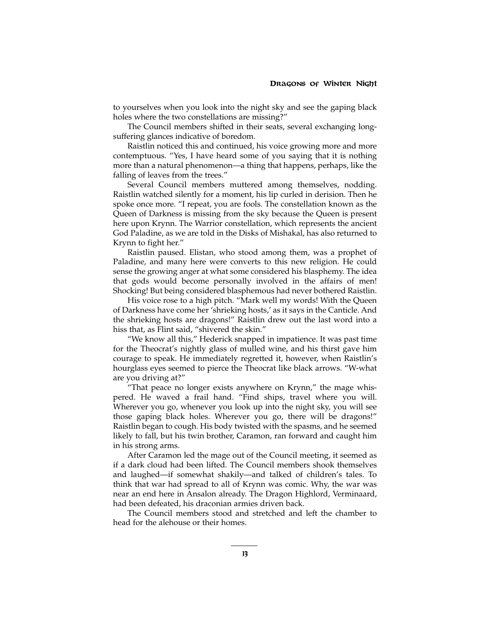to yourselves when you look into the night sky and see the gaping black holes where the two constellations are missing?"

The Council members shifted in their seats, several exchanging longsuffering glances indicative of boredom.

Raistlin noticed this and continued, his voice growing more and more contemptuous. "Yes, I have heard some of you saying that it is nothing more than a natural phenomenon—a thing that happens, perhaps, like the falling of leaves from the trees."

Several Council members muttered among themselves, nodding. Raistlin watched silently for a moment, his lip curled in derision. Then he spoke once more. "I repeat, you are fools. The constellation known as the Queen of Darkness is missing from the sky because the Queen is present here upon Krynn. The Warrior constellation, which represents the ancient God Paladine, as we are told in the Disks of Mishakal, has also returned to Krynn to fight her."

Raistlin paused. Elistan, who stood among them, was a prophet of Paladine, and many here were converts to this new religion. He could sense the growing anger at what some considered his blasphemy. The idea that gods would become personally involved in the affairs of men! Shocking! But being considered blasphemous had never bothered Raistlin.

His voice rose to a high pitch. "Mark well my words! With the Queen of Darkness have come her 'shrieking hosts,' as it says in the Canticle. And the shrieking hosts are dragons!" Raistlin drew out the last word into a hiss that, as Flint said, "shivered the skin."

"We know all this," Hederick snapped in impatience. It was past time for the Theocrat's nightly glass of mulled wine, and his thirst gave him courage to speak. He immediately regretted it, however, when Raistlin's hourglass eyes seemed to pierce the Theocrat like black arrows. "W-what are you driving at?"

"That peace no longer exists anywhere on Krynn," the mage whispered. He waved a frail hand. "Find ships, travel where you will. Wherever you go, whenever you look up into the night sky, you will see those gaping black holes. Wherever you go, there will be dragons!" Raistlin began to cough. His body twisted with the spasms, and he seemed likely to fall, but his twin brother, Caramon, ran forward and caught him in his strong arms.

After Caramon led the mage out of the Council meeting, it seemed as if a dark cloud had been lifted. The Council members shook themselves and laughed—if somewhat shakily—and talked of children's tales. To think that war had spread to all of Krynn was comic. Why, the war was near an end here in Ansalon already. The Dragon Highlord, Verminaard, had been defeated, his draconian armies driven back.

The Council members stood and stretched and left the chamber to head for the alehouse or their homes.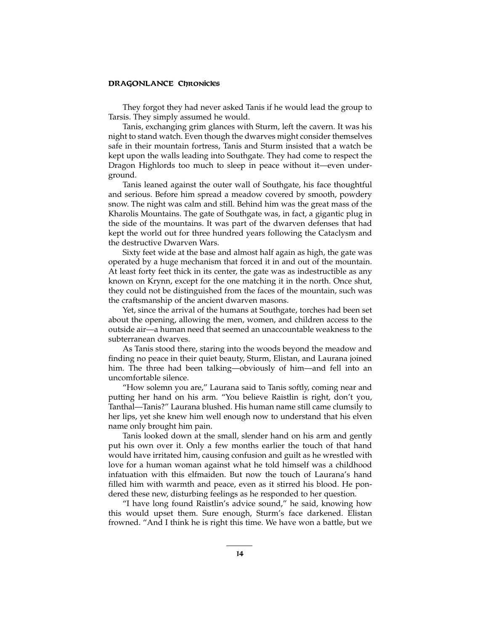### DRAGONLANCE Chronicles

They forgot they had never asked Tanis if he would lead the group to Tarsis. They simply assumed he would.

Tanis, exchanging grim glances with Sturm, left the cavern. It was his night to stand watch. Even though the dwarves might consider themselves safe in their mountain fortress, Tanis and Sturm insisted that a watch be kept upon the walls leading into Southgate. They had come to respect the Dragon Highlords too much to sleep in peace without it—even underground.

Tanis leaned against the outer wall of Southgate, his face thoughtful and serious. Before him spread a meadow covered by smooth, powdery snow. The night was calm and still. Behind him was the great mass of the Kharolis Mountains. The gate of Southgate was, in fact, a gigantic plug in the side of the mountains. It was part of the dwarven defenses that had kept the world out for three hundred years following the Cataclysm and the destructive Dwarven Wars.

Sixty feet wide at the base and almost half again as high, the gate was operated by a huge mechanism that forced it in and out of the mountain. At least forty feet thick in its center, the gate was as indestructible as any known on Krynn, except for the one matching it in the north. Once shut, they could not be distinguished from the faces of the mountain, such was the craftsmanship of the ancient dwarven masons.

Yet, since the arrival of the humans at Southgate, torches had been set about the opening, allowing the men, women, and children access to the outside air—a human need that seemed an unaccountable weakness to the subterranean dwarves.

As Tanis stood there, staring into the woods beyond the meadow and finding no peace in their quiet beauty, Sturm, Elistan, and Laurana joined him. The three had been talking—obviously of him—and fell into an uncomfortable silence.

"How solemn you are," Laurana said to Tanis softly, coming near and putting her hand on his arm. "You believe Raistlin is right, don't you, Tanthal—Tanis?" Laurana blushed. His human name still came clumsily to her lips, yet she knew him well enough now to understand that his elven name only brought him pain.

Tanis looked down at the small, slender hand on his arm and gently put his own over it. Only a few months earlier the touch of that hand would have irritated him, causing confusion and guilt as he wrestled with love for a human woman against what he told himself was a childhood infatuation with this elfmaiden. But now the touch of Laurana's hand filled him with warmth and peace, even as it stirred his blood. He pondered these new, disturbing feelings as he responded to her question.

"I have long found Raistlin's advice sound," he said, knowing how this would upset them. Sure enough, Sturm's face darkened. Elistan frowned. "And I think he is right this time. We have won a battle, but we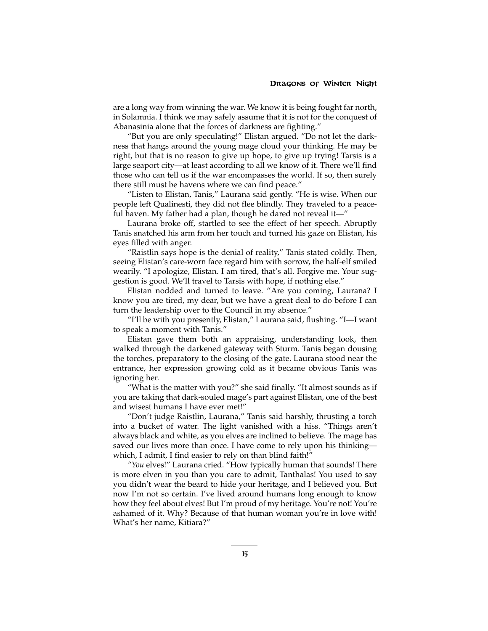are a long way from winning the war. We know it is being fought far north, in Solamnia. I think we may safely assume that it is not for the conquest of Abanasinia alone that the forces of darkness are fighting."

"But you are only speculating!" Elistan argued. "Do not let the darkness that hangs around the young mage cloud your thinking. He may be right, but that is no reason to give up hope, to give up trying! Tarsis is a large seaport city—at least according to all we know of it. There we'll find those who can tell us if the war encompasses the world. If so, then surely there still must be havens where we can find peace."

"Listen to Elistan, Tanis," Laurana said gently. "He is wise. When our people left Qualinesti, they did not flee blindly. They traveled to a peaceful haven. My father had a plan, though he dared not reveal it—"

Laurana broke off, startled to see the effect of her speech. Abruptly Tanis snatched his arm from her touch and turned his gaze on Elistan, his eyes filled with anger.

"Raistlin says hope is the denial of reality," Tanis stated coldly. Then, seeing Elistan's care-worn face regard him with sorrow, the half-elf smiled wearily. "I apologize, Elistan. I am tired, that's all. Forgive me. Your suggestion is good. We'll travel to Tarsis with hope, if nothing else."

Elistan nodded and turned to leave. "Are you coming, Laurana? I know you are tired, my dear, but we have a great deal to do before I can turn the leadership over to the Council in my absence."

"I'll be with you presently, Elistan," Laurana said, flushing. "I—I want to speak a moment with Tanis."

Elistan gave them both an appraising, understanding look, then walked through the darkened gateway with Sturm. Tanis began dousing the torches, preparatory to the closing of the gate. Laurana stood near the entrance, her expression growing cold as it became obvious Tanis was ignoring her.

"What is the matter with you?" she said finally. "It almost sounds as if you are taking that dark-souled mage's part against Elistan, one of the best and wisest humans I have ever met!"

"Don't judge Raistlin, Laurana," Tanis said harshly, thrusting a torch into a bucket of water. The light vanished with a hiss. "Things aren't always black and white, as you elves are inclined to believe. The mage has saved our lives more than once. I have come to rely upon his thinking which, I admit, I find easier to rely on than blind faith!"

*"You* elves!" Laurana cried. "How typically human that sounds! There is more elven in you than you care to admit, Tanthalas! You used to say you didn't wear the beard to hide your heritage, and I believed you. But now I'm not so certain. I've lived around humans long enough to know how they feel about elves! But I'm proud of my heritage. You're not! You're ashamed of it. Why? Because of that human woman you're in love with! What's her name, Kitiara?"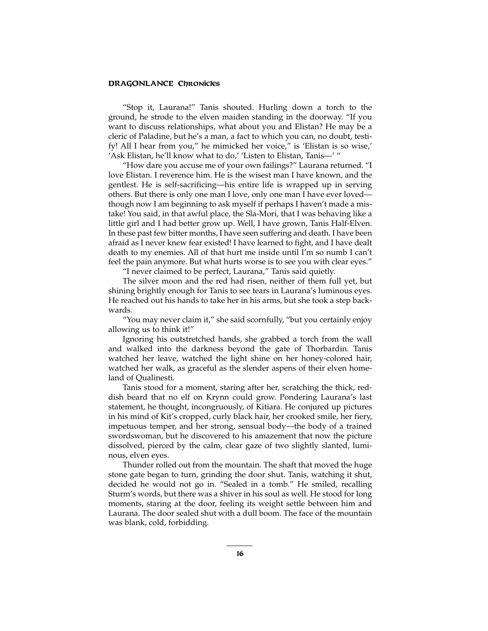### DRAGONLANCE Chronicles

"Stop it, Laurana!" Tanis shouted. Hurling down a torch to the ground, he strode to the elven maiden standing in the doorway. "If you want to discuss relationships, what about you and Elistan? He may be a cleric of Paladine, but he's a man, a fact to which you can, no doubt, testify! All I hear from you," he mimicked her voice," is 'Elistan is so wise,' 'Ask Elistan, he'll know what to do,' 'Listen to Elistan, Tanis—' "

"How dare you accuse me of your own failings?" Laurana returned. "I love Elistan. I reverence him. He is the wisest man I have known, and the gentlest. He is self-sacrificing—his entire life is wrapped up in serving others. But there is only one man I love, only one man I have ever loved though now I am beginning to ask myself if perhaps I haven't made a mistake! You said, in that awful place, the Sla-Mori, that I was behaving like a little girl and I had better grow up. Well, I have grown, Tanis Half-Elven. In these past few bitter months, I have seen suffering and death. I have been afraid as I never knew fear existed! I have learned to fight, and I have dealt death to my enemies. All of that hurt me inside until I'm so numb I can't feel the pain anymore. But what hurts worse is to see you with clear eyes."

"I never claimed to be perfect, Laurana," Tanis said quietly.

The silver moon and the red had risen, neither of them full yet, but shining brightly enough for Tanis to see tears in Laurana's luminous eyes. He reached out his hands to take her in his arms, but she took a step backwards.

"You may never claim it," she said scornfully, "but you certainly enjoy allowing us to think it!"

Ignoring his outstretched hands, she grabbed a torch from the wall and walked into the darkness beyond the gate of Thorbardin. Tanis watched her leave, watched the light shine on her honey-colored hair, watched her walk, as graceful as the slender aspens of their elven homeland of Qualinesti.

Tanis stood for a moment, staring after her, scratching the thick, reddish beard that no elf on Krynn could grow. Pondering Laurana's last statement, he thought, incongruously, of Kitiara. He conjured up pictures in his mind of Kit's cropped, curly black hair, her crooked smile, her fiery, impetuous temper, and her strong, sensual body—the body of a trained swordswoman, but he discovered to his amazement that now the picture dissolved, pierced by the calm, clear gaze of two slightly slanted, luminous, elven eyes.

Thunder rolled out from the mountain. The shaft that moved the huge stone gate began to turn, grinding the door shut. Tanis, watching it shut, decided he would not go in. "Sealed in a tomb." He smiled, recalling Sturm's words, but there was a shiver in his soul as well. He stood for long moments, staring at the door, feeling its weight settle between him and Laurana. The door sealed shut with a dull boom. The face of the mountain was blank, cold, forbidding.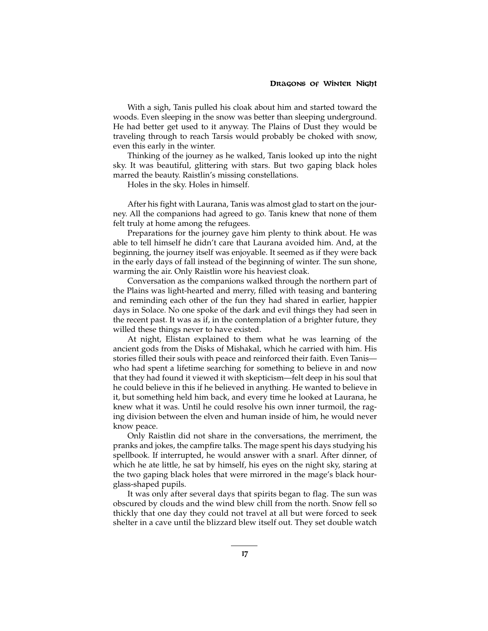With a sigh, Tanis pulled his cloak about him and started toward the woods. Even sleeping in the snow was better than sleeping underground. He had better get used to it anyway. The Plains of Dust they would be traveling through to reach Tarsis would probably be choked with snow, even this early in the winter.

Thinking of the journey as he walked, Tanis looked up into the night sky. It was beautiful, glittering with stars. But two gaping black holes marred the beauty. Raistlin's missing constellations.

Holes in the sky. Holes in himself.

After his fight with Laurana, Tanis was almost glad to start on the journey. All the companions had agreed to go. Tanis knew that none of them felt truly at home among the refugees.

Preparations for the journey gave him plenty to think about. He was able to tell himself he didn't care that Laurana avoided him. And, at the beginning, the journey itself was enjoyable. It seemed as if they were back in the early days of fall instead of the beginning of winter. The sun shone, warming the air. Only Raistlin wore his heaviest cloak.

Conversation as the companions walked through the northern part of the Plains was light-hearted and merry, filled with teasing and bantering and reminding each other of the fun they had shared in earlier, happier days in Solace. No one spoke of the dark and evil things they had seen in the recent past. It was as if, in the contemplation of a brighter future, they willed these things never to have existed.

At night, Elistan explained to them what he was learning of the ancient gods from the Disks of Mishakal, which he carried with him. His stories filled their souls with peace and reinforced their faith. Even Tanis who had spent a lifetime searching for something to believe in and now that they had found it viewed it with skepticism—felt deep in his soul that he could believe in this if he believed in anything. He wanted to believe in it, but something held him back, and every time he looked at Laurana, he knew what it was. Until he could resolve his own inner turmoil, the raging division between the elven and human inside of him, he would never know peace.

Only Raistlin did not share in the conversations, the merriment, the pranks and jokes, the campfire talks. The mage spent his days studying his spellbook. If interrupted, he would answer with a snarl. After dinner, of which he ate little, he sat by himself, his eyes on the night sky, staring at the two gaping black holes that were mirrored in the mage's black hourglass-shaped pupils.

It was only after several days that spirits began to flag. The sun was obscured by clouds and the wind blew chill from the north. Snow fell so thickly that one day they could not travel at all but were forced to seek shelter in a cave until the blizzard blew itself out. They set double watch